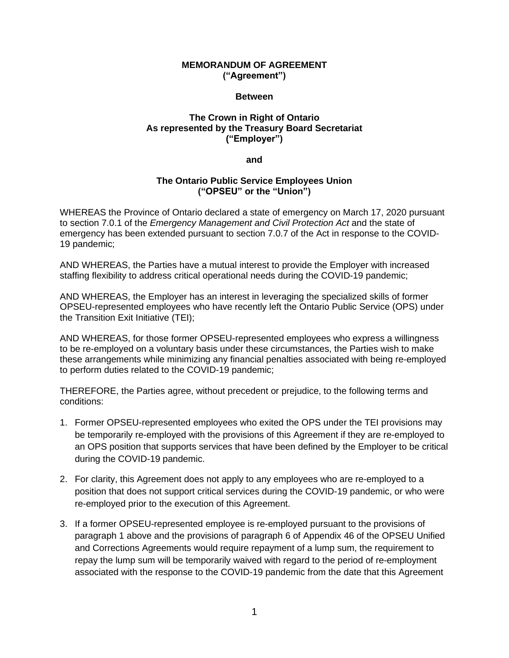## **MEMORANDUM OF AGREEMENT ("Agreement")**

## **Between**

## **The Crown in Right of Ontario As represented by the Treasury Board Secretariat ("Employer")**

**and**

## **The Ontario Public Service Employees Union ("OPSEU" or the "Union")**

WHEREAS the Province of Ontario declared a state of emergency on March 17, 2020 pursuant to section 7.0.1 of the *Emergency Management and Civil Protection Act* and the state of emergency has been extended pursuant to section 7.0.7 of the Act in response to the COVID-19 pandemic;

AND WHEREAS, the Parties have a mutual interest to provide the Employer with increased staffing flexibility to address critical operational needs during the COVID-19 pandemic;

AND WHEREAS, the Employer has an interest in leveraging the specialized skills of former OPSEU-represented employees who have recently left the Ontario Public Service (OPS) under the Transition Exit Initiative (TEI);

AND WHEREAS, for those former OPSEU-represented employees who express a willingness to be re-employed on a voluntary basis under these circumstances, the Parties wish to make these arrangements while minimizing any financial penalties associated with being re-employed to perform duties related to the COVID-19 pandemic;

THEREFORE, the Parties agree, without precedent or prejudice, to the following terms and conditions:

- 1. Former OPSEU-represented employees who exited the OPS under the TEI provisions may be temporarily re-employed with the provisions of this Agreement if they are re-employed to an OPS position that supports services that have been defined by the Employer to be critical during the COVID-19 pandemic.
- 2. For clarity, this Agreement does not apply to any employees who are re-employed to a position that does not support critical services during the COVID-19 pandemic, or who were re-employed prior to the execution of this Agreement.
- 3. If a former OPSEU-represented employee is re-employed pursuant to the provisions of paragraph 1 above and the provisions of paragraph 6 of Appendix 46 of the OPSEU Unified and Corrections Agreements would require repayment of a lump sum, the requirement to repay the lump sum will be temporarily waived with regard to the period of re-employment associated with the response to the COVID-19 pandemic from the date that this Agreement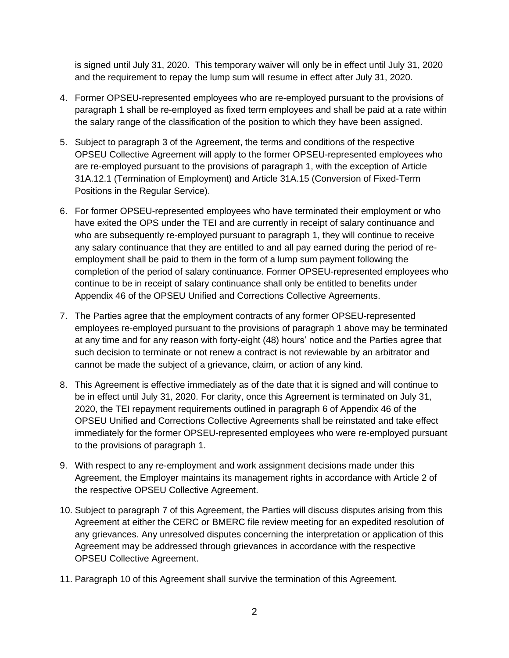is signed until July 31, 2020. This temporary waiver will only be in effect until July 31, 2020 and the requirement to repay the lump sum will resume in effect after July 31, 2020.

- 4. Former OPSEU-represented employees who are re-employed pursuant to the provisions of paragraph 1 shall be re-employed as fixed term employees and shall be paid at a rate within the salary range of the classification of the position to which they have been assigned.
- 5. Subject to paragraph 3 of the Agreement, the terms and conditions of the respective OPSEU Collective Agreement will apply to the former OPSEU-represented employees who are re-employed pursuant to the provisions of paragraph 1, with the exception of Article 31A.12.1 (Termination of Employment) and Article 31A.15 (Conversion of Fixed-Term Positions in the Regular Service).
- 6. For former OPSEU-represented employees who have terminated their employment or who have exited the OPS under the TEI and are currently in receipt of salary continuance and who are subsequently re-employed pursuant to paragraph 1, they will continue to receive any salary continuance that they are entitled to and all pay earned during the period of reemployment shall be paid to them in the form of a lump sum payment following the completion of the period of salary continuance. Former OPSEU-represented employees who continue to be in receipt of salary continuance shall only be entitled to benefits under Appendix 46 of the OPSEU Unified and Corrections Collective Agreements.
- 7. The Parties agree that the employment contracts of any former OPSEU-represented employees re-employed pursuant to the provisions of paragraph 1 above may be terminated at any time and for any reason with forty-eight (48) hours' notice and the Parties agree that such decision to terminate or not renew a contract is not reviewable by an arbitrator and cannot be made the subject of a grievance, claim, or action of any kind.
- 8. This Agreement is effective immediately as of the date that it is signed and will continue to be in effect until July 31, 2020. For clarity, once this Agreement is terminated on July 31, 2020, the TEI repayment requirements outlined in paragraph 6 of Appendix 46 of the OPSEU Unified and Corrections Collective Agreements shall be reinstated and take effect immediately for the former OPSEU-represented employees who were re-employed pursuant to the provisions of paragraph 1.
- 9. With respect to any re-employment and work assignment decisions made under this Agreement, the Employer maintains its management rights in accordance with Article 2 of the respective OPSEU Collective Agreement.
- 10. Subject to paragraph 7 of this Agreement, the Parties will discuss disputes arising from this Agreement at either the CERC or BMERC file review meeting for an expedited resolution of any grievances. Any unresolved disputes concerning the interpretation or application of this Agreement may be addressed through grievances in accordance with the respective OPSEU Collective Agreement.
- 11. Paragraph 10 of this Agreement shall survive the termination of this Agreement.